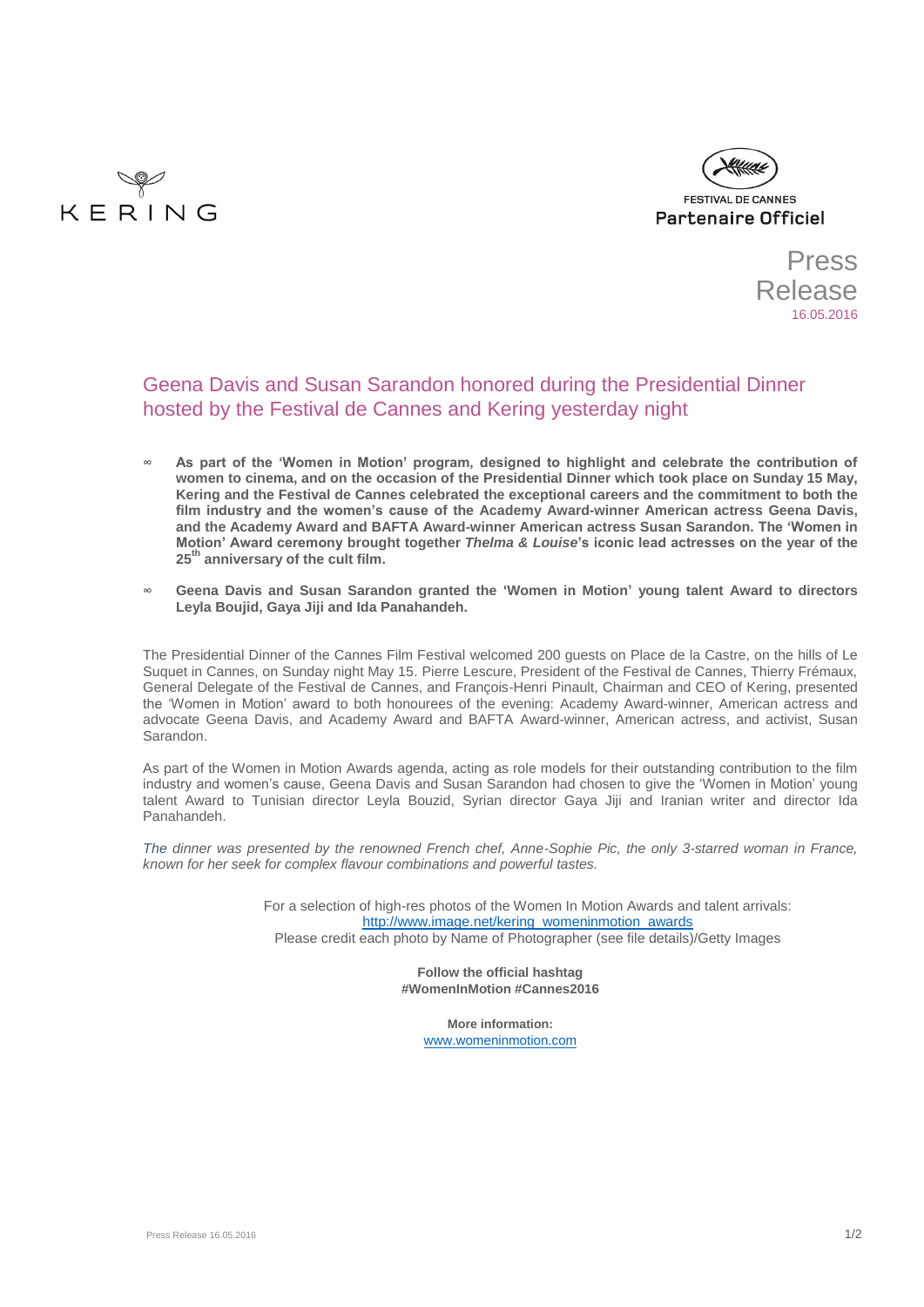



Press Release 16.05.2016

# Geena Davis and Susan Sarandon honored during the Presidential Dinner hosted by the Festival de Cannes and Kering yesterday night

- **∞ As part of the 'Women in Motion' program, designed to highlight and celebrate the contribution of women to cinema, and on the occasion of the Presidential Dinner which took place on Sunday 15 May, Kering and the Festival de Cannes celebrated the exceptional careers and the commitment to both the film industry and the women's cause of the Academy Award-winner American actress Geena Davis, and the Academy Award and BAFTA Award-winner American actress Susan Sarandon. The 'Women in Motion' Award ceremony brought together** *Thelma & Louise***'s iconic lead actresses on the year of the 25th anniversary of the cult film.**
- **∞ Geena Davis and Susan Sarandon granted the 'Women in Motion' young talent Award to directors Leyla Boujid, Gaya Jiji and Ida Panahandeh.**

The Presidential Dinner of the Cannes Film Festival welcomed 200 guests on Place de la Castre, on the hills of Le Suquet in Cannes, on Sunday night May 15. Pierre Lescure, President of the Festival de Cannes, Thierry Frémaux, General Delegate of the Festival de Cannes, and François-Henri Pinault, Chairman and CEO of Kering, presented the 'Women in Motion' award to both honourees of the evening: Academy Award-winner, American actress and advocate Geena Davis, and Academy Award and BAFTA Award-winner, American actress, and activist, Susan Sarandon.

As part of the Women in Motion Awards agenda, acting as role models for their outstanding contribution to the film industry and women's cause, Geena Davis and Susan Sarandon had chosen to give the 'Women in Motion' young talent Award to Tunisian director Leyla Bouzid, Syrian director Gaya Jiji and Iranian writer and director Ida Panahandeh.

*The dinner was presented by the renowned French chef, Anne-Sophie Pic, the only 3-starred woman in France, known for her seek for complex flavour combinations and powerful tastes.* 

> For a selection of high-res photos of the Women In Motion Awards and talent arrivals: [http://www.image.net/kering\\_womeninmotion\\_awards](http://www.image.net/kering_womeninmotion_awards) Please credit each photo by Name of Photographer (see file details)/Getty Images

> > **Follow the official hashtag #WomenInMotion #Cannes2016**

> > > **More information:** [www.womeninmotion.com](http://www.womeninmotion.com/)